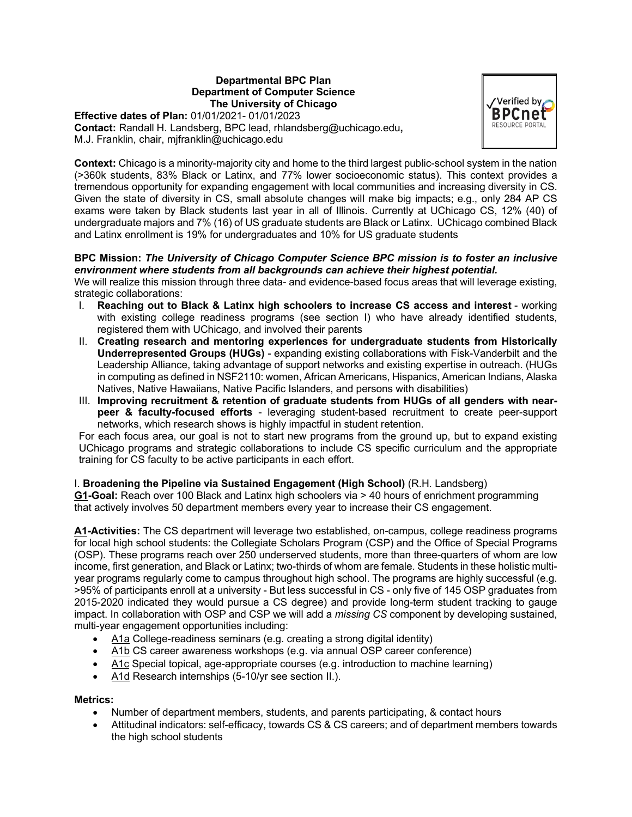# **Departmental BPC Plan Department of Computer Science The University of Chicago**

**Effective dates of Plan:** 01/01/2021- 01/01/2023 **Contact:** Randall H. Landsberg, BPC lead, rhlandsberg@uchicago.edu**,** M.J. Franklin, chair, mjfranklin@uchicago.edu



**Context:** Chicago is a minority-majority city and home to the third largest public-school system in the nation (>360k students, 83% Black or Latinx, and 77% lower socioeconomic status). This context provides a tremendous opportunity for expanding engagement with local communities and increasing diversity in CS. Given the state of diversity in CS, small absolute changes will make big impacts; e.g., only 284 AP CS exams were taken by Black students last year in all of Illinois. Currently at UChicago CS, 12% (40) of undergraduate majors and 7% (16) of US graduate students are Black or Latinx. UChicago combined Black and Latinx enrollment is 19% for undergraduates and 10% for US graduate students

# **BPC Mission:** *The University of Chicago Computer Science BPC mission is to foster an inclusive environment where students from all backgrounds can achieve their highest potential.*

We will realize this mission through three data- and evidence-based focus areas that will leverage existing, strategic collaborations:

- I. **Reaching out to Black & Latinx high schoolers to increase CS access and interest** working with existing college readiness programs (see section I) who have already identified students, registered them with UChicago, and involved their parents
- II. **Creating research and mentoring experiences for undergraduate students from Historically Underrepresented Groups (HUGs)** - expanding existing collaborations with Fisk-Vanderbilt and the Leadership Alliance, taking advantage of support networks and existing expertise in outreach. (HUGs in computing as defined in NSF2110: women, African Americans, Hispanics, American Indians, Alaska Natives, Native Hawaiians, Native Pacific Islanders, and persons with disabilities)
- III. **Improving recruitment & retention of graduate students from HUGs of all genders with nearpeer & faculty-focused efforts** - leveraging student-based recruitment to create peer-support networks, which research shows is highly impactful in student retention.

For each focus area, our goal is not to start new programs from the ground up, but to expand existing UChicago programs and strategic collaborations to include CS specific curriculum and the appropriate training for CS faculty to be active participants in each effort.

# I. **Broadening the Pipeline via Sustained Engagement (High School)** (R.H. Landsberg)

**G1-Goal:** Reach over 100 Black and Latinx high schoolers via > 40 hours of enrichment programming that actively involves 50 department members every year to increase their CS engagement.

**A1-Activities:** The CS department will leverage two established, on-campus, college readiness programs for local high school students: the Collegiate Scholars Program (CSP) and the Office of Special Programs (OSP). These programs reach over 250 underserved students, more than three-quarters of whom are low income, first generation, and Black or Latinx; two-thirds of whom are female. Students in these holistic multiyear programs regularly come to campus throughout high school. The programs are highly successful (e.g. >95% of participants enroll at a university - But less successful in CS - only five of 145 OSP graduates from 2015-2020 indicated they would pursue a CS degree) and provide long-term student tracking to gauge impact. In collaboration with OSP and CSP we will add a *missing CS* component by developing sustained, multi-year engagement opportunities including:

- A1a College-readiness seminars (e.g. creating a strong digital identity)
- A1b CS career awareness workshops (e.g. via annual OSP career conference)
- A1c Special topical, age-appropriate courses (e.g. introduction to machine learning)
- A1d Research internships (5-10/yr see section II.).

# **Metrics:**

- Number of department members, students, and parents participating, & contact hours
- Attitudinal indicators: self-efficacy, towards CS & CS careers; and of department members towards the high school students